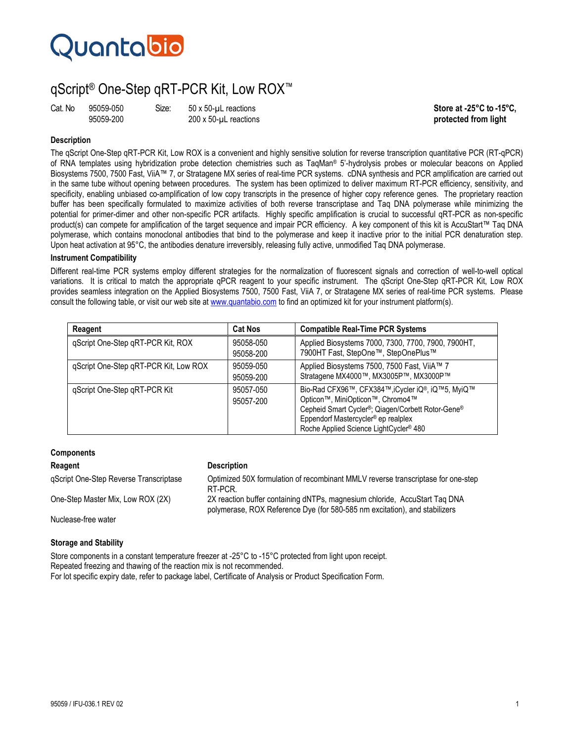# Quantabio

# qScript® One-Step qRT-PCR Kit, Low ROX™

Cat. No 95059-050 Size: 50 x 50-µL reactions **Similar and the set of the Store at -25°C to -15°C,**<br>95059-200 995059-200 200 x 50-µL reactions **Store at the Store at the Store at the Store at the Store at the Store at the S** protected from light

# **Description**

The qScript One-Step qRT-PCR Kit, Low ROX is a convenient and highly sensitive solution for reverse transcription quantitative PCR (RT-qPCR) of RNA templates using hybridization probe detection chemistries such as TaqMan® 5'-hydrolysis probes or molecular beacons on Applied Biosystems 7500, 7500 Fast, ViiA™ 7, or Stratagene MX series of real-time PCR systems. cDNA synthesis and PCR amplification are carried out in the same tube without opening between procedures. The system has been optimized to deliver maximum RT-PCR efficiency, sensitivity, and specificity, enabling unbiased co-amplification of low copy transcripts in the presence of higher copy reference genes. The proprietary reaction buffer has been specifically formulated to maximize activities of both reverse transcriptase and Taq DNA polymerase while minimizing the potential for primer-dimer and other non-specific PCR artifacts. Highly specific amplification is crucial to successful qRT-PCR as non-specific product(s) can compete for amplification of the target sequence and impair PCR efficiency. A key component of this kit is AccuStart™ Taq DNA polymerase, which contains monoclonal antibodies that bind to the polymerase and keep it inactive prior to the initial PCR denaturation step. Upon heat activation at 95°C, the antibodies denature irreversibly, releasing fully active, unmodified Taq DNA polymerase.

## **Instrument Compatibility**

Different real-time PCR systems employ different strategies for the normalization of fluorescent signals and correction of well-to-well optical variations. It is critical to match the appropriate qPCR reagent to your specific instrument. The qScript One-Step qRT-PCR Kit, Low ROX provides seamless integration on the Applied Biosystems 7500, 7500 Fast, ViiA 7, or Stratagene MX series of real-time PCR systems. Please consult the following table, or visit our web site at www.quantabio.com to find an optimized kit for your instrument platform(s).

| Reagent                               | <b>Cat Nos</b>         | <b>Compatible Real-Time PCR Systems</b>                                                                                                                                                                                                                                                   |
|---------------------------------------|------------------------|-------------------------------------------------------------------------------------------------------------------------------------------------------------------------------------------------------------------------------------------------------------------------------------------|
| qScript One-Step qRT-PCR Kit, ROX     | 95058-050<br>95058-200 | Applied Biosystems 7000, 7300, 7700, 7900, 7900HT,<br>7900HT Fast, StepOne™, StepOnePlus™                                                                                                                                                                                                 |
| qScript One-Step qRT-PCR Kit, Low ROX | 95059-050<br>95059-200 | Applied Biosystems 7500, 7500 Fast, ViiA™ 7<br>Stratagene MX4000™, MX3005P™, MX3000P™                                                                                                                                                                                                     |
| qScript One-Step qRT-PCR Kit          | 95057-050<br>95057-200 | Bio-Rad CFX96™, CFX384™, iCycler iQ®, iQ™5, MyiQ™<br>Opticon <sup>™</sup> , MiniOpticon™, Chromo4™<br>Cepheid Smart Cycler <sup>®</sup> ; Qiagen/Corbett Rotor-Gene <sup>®</sup><br>Eppendorf Mastercycler <sup>®</sup> ep realplex<br>Roche Applied Science LightCycler <sup>®</sup> 480 |

# **Components**

### **Reagent Construction Construction Construction Description**

qScript One-Step Reverse Transcriptase Optimized 50X formulation of recombinant MMLV reverse transcriptase for one-step RT-PCR. One-Step Master Mix, Low ROX (2X) 2X reaction buffer containing dNTPs, magnesium chloride, AccuStart Taq DNA polymerase, ROX Reference Dye (for 580-585 nm excitation), and stabilizers

Nuclease-free water

## **Storage and Stability**

Store components in a constant temperature freezer at -25°C to -15°C protected from light upon receipt. Repeated freezing and thawing of the reaction mix is not recommended. For lot specific expiry date, refer to package label, Certificate of Analysis or Product Specification Form.